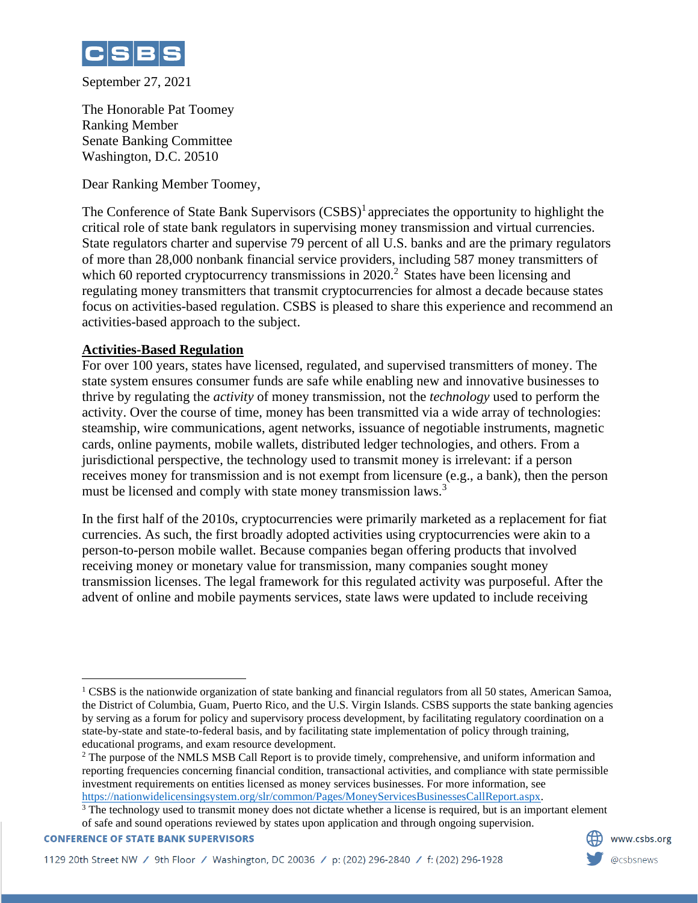

September 27, 2021

The Honorable Pat Toomey Ranking Member Senate Banking Committee Washington, D.C. 20510

Dear Ranking Member Toomey,

The Conference of State Bank Supervisors  $(CSBS)^1$  appreciates the opportunity to highlight the critical role of state bank regulators in supervising money transmission and virtual currencies. State regulators charter and supervise 79 percent of all U.S. banks and are the primary regulators of more than 28,000 nonbank financial service providers, including 587 money transmitters of which 60 reported cryptocurrency transmissions in  $2020$ <sup>2</sup> States have been licensing and regulating money transmitters that transmit cryptocurrencies for almost a decade because states focus on activities-based regulation. CSBS is pleased to share this experience and recommend an activities-based approach to the subject.

## **Activities-Based Regulation**

For over 100 years, states have licensed, regulated, and supervised transmitters of money. The state system ensures consumer funds are safe while enabling new and innovative businesses to thrive by regulating the *activity* of money transmission, not the *technology* used to perform the activity. Over the course of time, money has been transmitted via a wide array of technologies: steamship, wire communications, agent networks, issuance of negotiable instruments, magnetic cards, online payments, mobile wallets, distributed ledger technologies, and others. From a jurisdictional perspective, the technology used to transmit money is irrelevant: if a person receives money for transmission and is not exempt from licensure (e.g., a bank), then the person must be licensed and comply with state money transmission laws.<sup>3</sup>

In the first half of the 2010s, cryptocurrencies were primarily marketed as a replacement for fiat currencies. As such, the first broadly adopted activities using cryptocurrencies were akin to a person-to-person mobile wallet. Because companies began offering products that involved receiving money or monetary value for transmission, many companies sought money transmission licenses. The legal framework for this regulated activity was purposeful. After the advent of online and mobile payments services, state laws were updated to include receiving

**CONFERENCE OF STATE BANK SUPERVISORS** 



<sup>1</sup> CSBS is the nationwide organization of state banking and financial regulators from all 50 states, American Samoa, the District of Columbia, Guam, Puerto Rico, and the U.S. Virgin Islands. CSBS supports the state banking agencies by serving as a forum for policy and supervisory process development, by facilitating regulatory coordination on a state-by-state and state-to-federal basis, and by facilitating state implementation of policy through training, educational programs, and exam resource development.

<sup>&</sup>lt;sup>2</sup> The purpose of the NMLS MSB Call Report is to provide timely, comprehensive, and uniform information and reporting frequencies concerning financial condition, transactional activities, and compliance with state permissible investment requirements on entities licensed as money services businesses. For more information, see [https://nationwidelicensingsystem.org/slr/common/Pages/MoneyServicesBusinessesCallReport.aspx.](https://nationwidelicensingsystem.org/slr/common/Pages/MoneyServicesBusinessesCallReport.aspx)

<sup>&</sup>lt;sup>3</sup> The technology used to transmit money does not dictate whether a license is required, but is an important element of safe and sound operations reviewed by states upon application and through ongoing supervision.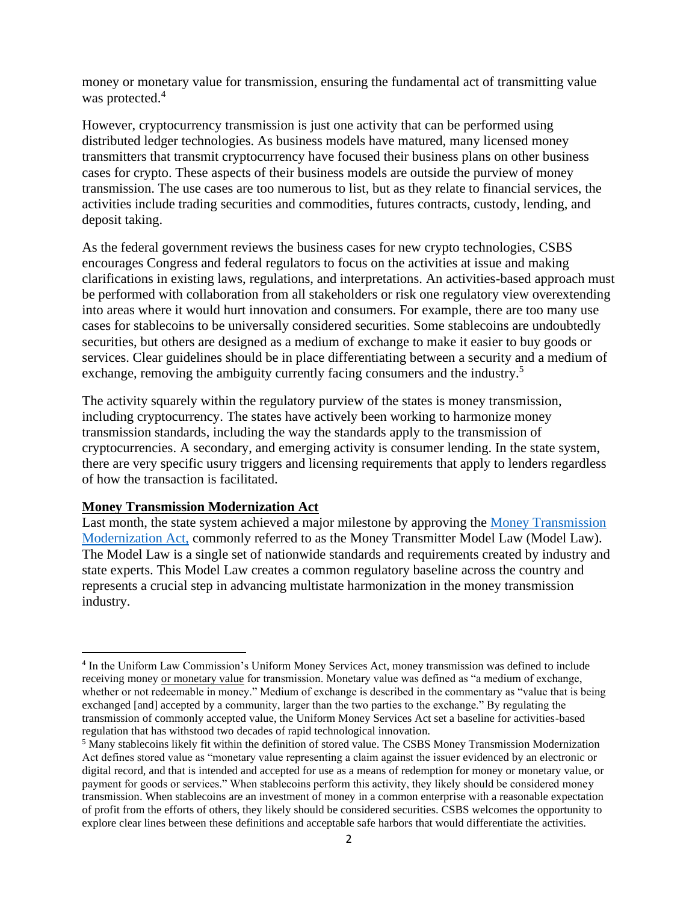money or monetary value for transmission, ensuring the fundamental act of transmitting value was protected.<sup>4</sup>

However, cryptocurrency transmission is just one activity that can be performed using distributed ledger technologies. As business models have matured, many licensed money transmitters that transmit cryptocurrency have focused their business plans on other business cases for crypto. These aspects of their business models are outside the purview of money transmission. The use cases are too numerous to list, but as they relate to financial services, the activities include trading securities and commodities, futures contracts, custody, lending, and deposit taking.

As the federal government reviews the business cases for new crypto technologies, CSBS encourages Congress and federal regulators to focus on the activities at issue and making clarifications in existing laws, regulations, and interpretations. An activities-based approach must be performed with collaboration from all stakeholders or risk one regulatory view overextending into areas where it would hurt innovation and consumers. For example, there are too many use cases for stablecoins to be universally considered securities. Some stablecoins are undoubtedly securities, but others are designed as a medium of exchange to make it easier to buy goods or services. Clear guidelines should be in place differentiating between a security and a medium of exchange, removing the ambiguity currently facing consumers and the industry.<sup>5</sup>

The activity squarely within the regulatory purview of the states is money transmission, including cryptocurrency. The states have actively been working to harmonize money transmission standards, including the way the standards apply to the transmission of cryptocurrencies. A secondary, and emerging activity is consumer lending. In the state system, there are very specific usury triggers and licensing requirements that apply to lenders regardless of how the transaction is facilitated.

## **[Money Transmission Modernization Act](https://www.csbs.org/sites/default/files/2021-09/CSBS%20Money%20Transmission%20Modernization%20Act_1.pdf)**

Last month, the state system achieved a major milestone by approving the [Money Transmission](https://www.csbs.org/sites/default/files/2021-09/CSBS%20Money%20Transmission%20Modernization%20Act_1.pdf)  [Modernization Act,](https://www.csbs.org/sites/default/files/2021-09/CSBS%20Money%20Transmission%20Modernization%20Act_1.pdf) commonly referred to as the Money Transmitter Model Law (Model Law). The Model Law is a single set of nationwide standards and requirements created by industry and state experts. This Model Law creates a common regulatory baseline across the country and represents a crucial step in advancing multistate harmonization in the money transmission industry.

<sup>4</sup> In the Uniform Law Commission's Uniform Money Services Act, money transmission was defined to include receiving money or monetary value for transmission. Monetary value was defined as "a medium of exchange, whether or not redeemable in money." Medium of exchange is described in the commentary as "value that is being exchanged [and] accepted by a community, larger than the two parties to the exchange." By regulating the transmission of commonly accepted value, the Uniform Money Services Act set a baseline for activities-based regulation that has withstood two decades of rapid technological innovation.

<sup>5</sup> Many stablecoins likely fit within the definition of stored value. The CSBS Money Transmission Modernization Act defines stored value as "monetary value representing a claim against the issuer evidenced by an electronic or digital record, and that is intended and accepted for use as a means of redemption for money or monetary value, or payment for goods or services." When stablecoins perform this activity, they likely should be considered money transmission. When stablecoins are an investment of money in a common enterprise with a reasonable expectation of profit from the efforts of others, they likely should be considered securities. CSBS welcomes the opportunity to explore clear lines between these definitions and acceptable safe harbors that would differentiate the activities.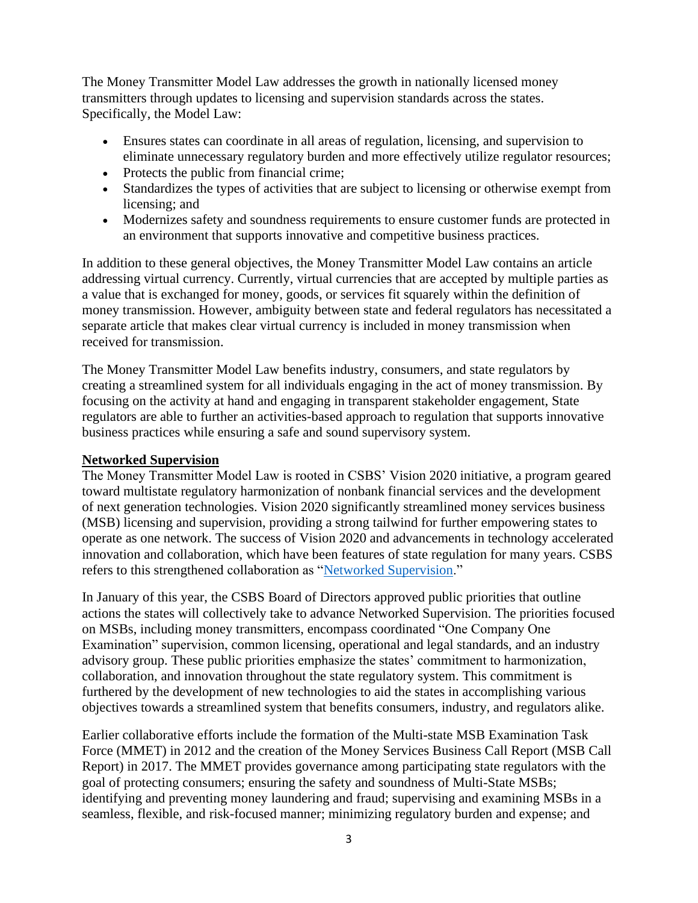The Money Transmitter Model Law addresses the growth in nationally licensed money transmitters through updates to licensing and supervision standards across the states. Specifically, the Model Law:

- Ensures states can coordinate in all areas of regulation, licensing, and supervision to eliminate unnecessary regulatory burden and more effectively utilize regulator resources;
- Protects the public from financial crime;
- Standardizes the types of activities that are subject to licensing or otherwise exempt from licensing; and
- Modernizes safety and soundness requirements to ensure customer funds are protected in an environment that supports innovative and competitive business practices.

In addition to these general objectives, the Money Transmitter Model Law contains an article addressing virtual currency. Currently, virtual currencies that are accepted by multiple parties as a value that is exchanged for money, goods, or services fit squarely within the definition of money transmission. However, ambiguity between state and federal regulators has necessitated a separate article that makes clear virtual currency is included in money transmission when received for transmission.

The Money Transmitter Model Law benefits industry, consumers, and state regulators by creating a streamlined system for all individuals engaging in the act of money transmission. By focusing on the activity at hand and engaging in transparent stakeholder engagement, State regulators are able to further an activities-based approach to regulation that supports innovative business practices while ensuring a safe and sound supervisory system.

## **Networked Supervision**

The Money Transmitter Model Law is rooted in CSBS' Vision 2020 initiative, a program geared toward multistate regulatory harmonization of nonbank financial services and the development of next generation technologies. Vision 2020 significantly streamlined money services business (MSB) licensing and supervision, providing a strong tailwind for further empowering states to operate as one network. The success of Vision 2020 and advancements in technology accelerated innovation and collaboration, which have been features of state regulation for many years. CSBS refers to this strengthened collaboration as ["Networked Supervision.](https://www.csbs.org/networked-supervision)"

In January of this year, the CSBS Board of Directors approved public priorities that outline actions the states will collectively take to advance Networked Supervision. The priorities focused on MSBs, including money transmitters, encompass coordinated "One Company One Examination" supervision, common licensing, operational and legal standards, and an industry advisory group. These public priorities emphasize the states' commitment to harmonization, collaboration, and innovation throughout the state regulatory system. This commitment is furthered by the development of new technologies to aid the states in accomplishing various objectives towards a streamlined system that benefits consumers, industry, and regulators alike.

Earlier collaborative efforts include the formation of the Multi-state MSB Examination Task Force (MMET) in 2012 and the creation of the Money Services Business Call Report (MSB Call Report) in 2017. The MMET provides governance among participating state regulators with the goal of protecting consumers; ensuring the safety and soundness of Multi-State MSBs; identifying and preventing money laundering and fraud; supervising and examining MSBs in a seamless, flexible, and risk-focused manner; minimizing regulatory burden and expense; and